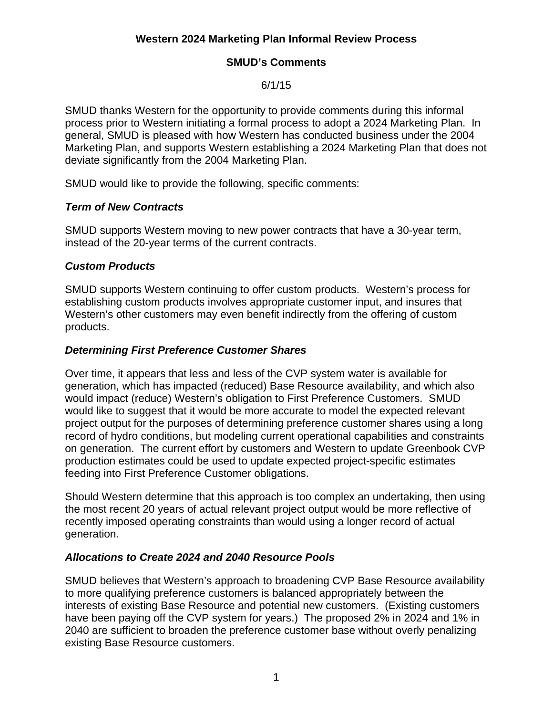# **Western 2024 Marketing Plan Informal Review Process**

### **SMUD's Comments**

6/1/15

SMUD thanks Western for the opportunity to provide comments during this informal process prior to Western initiating a formal process to adopt a 2024 Marketing Plan. In general, SMUD is pleased with how Western has conducted business under the 2004 Marketing Plan, and supports Western establishing a 2024 Marketing Plan that does not deviate significantly from the 2004 Marketing Plan.

SMUD would like to provide the following, specific comments:

#### *Term of New Contracts*

SMUD supports Western moving to new power contracts that have a 30-year term, instead of the 20-year terms of the current contracts.

#### *Custom Products*

SMUD supports Western continuing to offer custom products. Western's process for establishing custom products involves appropriate customer input, and insures that Western's other customers may even benefit indirectly from the offering of custom products.

#### *Determining First Preference Customer Shares*

Over time, it appears that less and less of the CVP system water is available for generation, which has impacted (reduced) Base Resource availability, and which also would impact (reduce) Western's obligation to First Preference Customers. SMUD would like to suggest that it would be more accurate to model the expected relevant project output for the purposes of determining preference customer shares using a long record of hydro conditions, but modeling current operational capabilities and constraints on generation. The current effort by customers and Western to update Greenbook CVP production estimates could be used to update expected project-specific estimates feeding into First Preference Customer obligations.

Should Western determine that this approach is too complex an undertaking, then using the most recent 20 years of actual relevant project output would be more reflective of recently imposed operating constraints than would using a longer record of actual generation.

## *Allocations to Create 2024 and 2040 Resource Pools*

SMUD believes that Western's approach to broadening CVP Base Resource availability to more qualifying preference customers is balanced appropriately between the interests of existing Base Resource and potential new customers. (Existing customers have been paying off the CVP system for years.) The proposed 2% in 2024 and 1% in 2040 are sufficient to broaden the preference customer base without overly penalizing existing Base Resource customers.